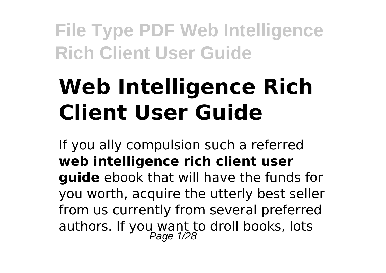# **Web Intelligence Rich Client User Guide**

If you ally compulsion such a referred **web intelligence rich client user guide** ebook that will have the funds for you worth, acquire the utterly best seller from us currently from several preferred authors. If you want to droll books, lots<br>Page 1/28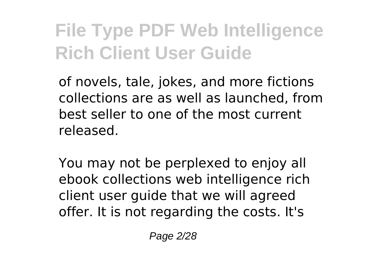of novels, tale, jokes, and more fictions collections are as well as launched, from best seller to one of the most current released.

You may not be perplexed to enjoy all ebook collections web intelligence rich client user guide that we will agreed offer. It is not regarding the costs. It's

Page 2/28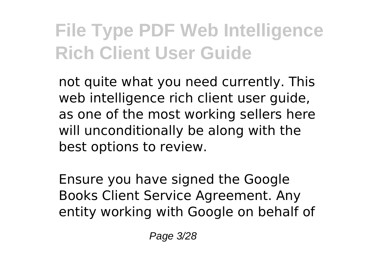not quite what you need currently. This web intelligence rich client user guide, as one of the most working sellers here will unconditionally be along with the best options to review.

Ensure you have signed the Google Books Client Service Agreement. Any entity working with Google on behalf of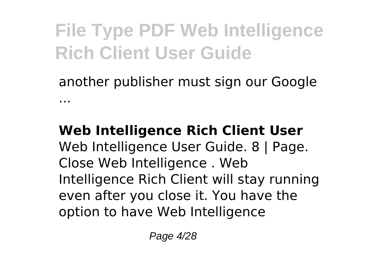another publisher must sign our Google ...

#### **Web Intelligence Rich Client User** Web Intelligence User Guide. 8 | Page. Close Web Intelligence . Web Intelligence Rich Client will stay running even after you close it. You have the option to have Web Intelligence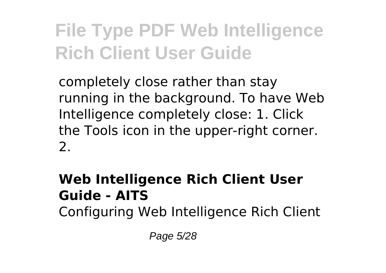completely close rather than stay running in the background. To have Web Intelligence completely close: 1. Click the Tools icon in the upper-right corner. 2.

### **Web Intelligence Rich Client User Guide - AITS**

Configuring Web Intelligence Rich Client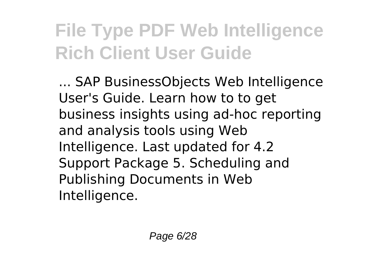... SAP BusinessObjects Web Intelligence User's Guide. Learn how to to get business insights using ad-hoc reporting and analysis tools using Web Intelligence. Last updated for 4.2 Support Package 5. Scheduling and Publishing Documents in Web Intelligence.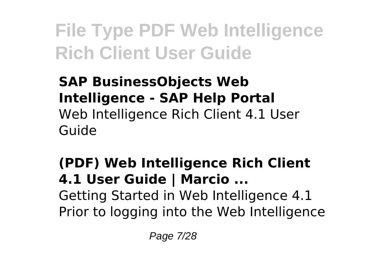### **SAP BusinessObjects Web Intelligence - SAP Help Portal** Web Intelligence Rich Client 4.1 User Guide

### **(PDF) Web Intelligence Rich Client 4.1 User Guide | Marcio ...** Getting Started in Web Intelligence 4.1 Prior to logging into the Web Intelligence

Page 7/28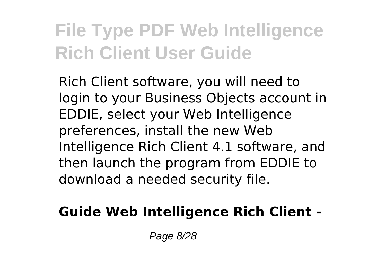Rich Client software, you will need to login to your Business Objects account in EDDIE, select your Web Intelligence preferences, install the new Web Intelligence Rich Client 4.1 software, and then launch the program from EDDIE to download a needed security file.

### **Guide Web Intelligence Rich Client -**

Page 8/28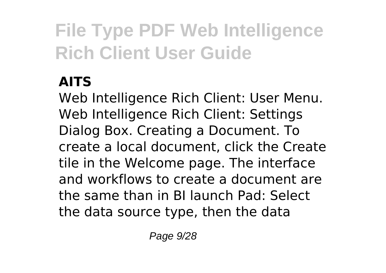### **AITS**

Web Intelligence Rich Client: User Menu. Web Intelligence Rich Client: Settings Dialog Box. Creating a Document. To create a local document, click the Create tile in the Welcome page. The interface and workflows to create a document are the same than in BI launch Pad: Select the data source type, then the data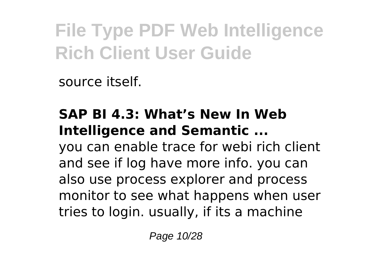source itself.

### **SAP BI 4.3: What's New In Web Intelligence and Semantic ...**

you can enable trace for webi rich client and see if log have more info. you can also use process explorer and process monitor to see what happens when user tries to login. usually, if its a machine

Page 10/28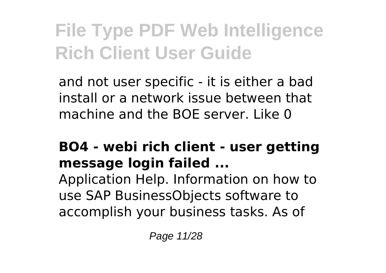and not user specific - it is either a bad install or a network issue between that machine and the BOE server. Like 0

### **BO4 - webi rich client - user getting message login failed ...**

Application Help. Information on how to use SAP BusinessObjects software to accomplish your business tasks. As of

Page 11/28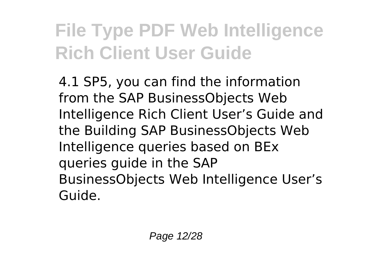4.1 SP5, you can find the information from the SAP BusinessObjects Web Intelligence Rich Client User's Guide and the Building SAP BusinessObjects Web Intelligence queries based on BEx queries guide in the SAP BusinessObjects Web Intelligence User's Guide.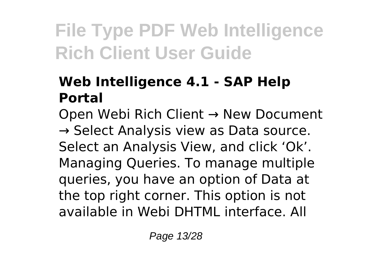### **Web Intelligence 4.1 - SAP Help Portal**

Open Webi Rich Client → New Document  $\rightarrow$  Select Analysis view as Data source. Select an Analysis View, and click 'Ok'. Managing Queries. To manage multiple queries, you have an option of Data at the top right corner. This option is not available in Webi DHTML interface. All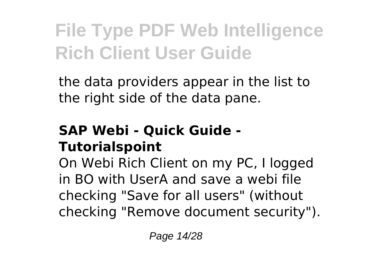the data providers appear in the list to the right side of the data pane.

#### **SAP Webi - Quick Guide - Tutorialspoint**

On Webi Rich Client on my PC, I logged in BO with UserA and save a webi file checking "Save for all users" (without checking "Remove document security").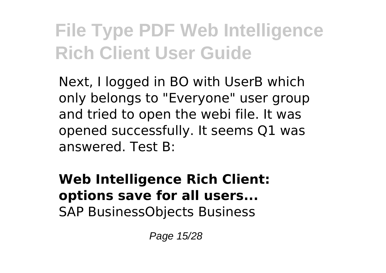Next, I logged in BO with UserB which only belongs to "Everyone" user group and tried to open the webi file. It was opened successfully. It seems Q1 was answered. Test B:

**Web Intelligence Rich Client: options save for all users...** SAP BusinessObjects Business

Page 15/28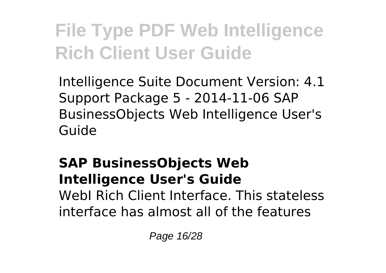Intelligence Suite Document Version: 4.1 Support Package 5 - 2014-11-06 SAP BusinessObjects Web Intelligence User's Guide

#### **SAP BusinessObjects Web Intelligence User's Guide** WebI Rich Client Interface. This stateless interface has almost all of the features

Page 16/28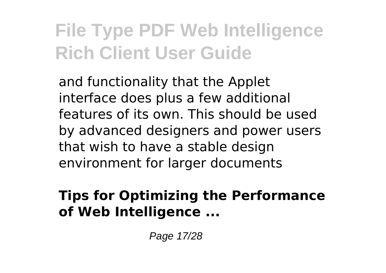and functionality that the Applet interface does plus a few additional features of its own. This should be used by advanced designers and power users that wish to have a stable design environment for larger documents

#### **Tips for Optimizing the Performance of Web Intelligence ...**

Page 17/28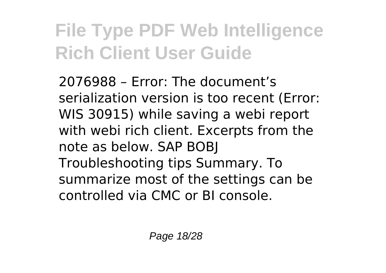2076988 – Error: The document's serialization version is too recent (Error: WIS 30915) while saving a webi report with webi rich client. Excerpts from the note as below. SAP BOBJ Troubleshooting tips Summary. To summarize most of the settings can be controlled via CMC or BI console.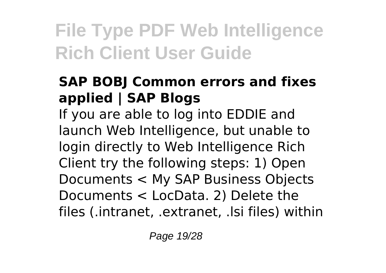### **SAP BOBJ Common errors and fixes applied | SAP Blogs**

If you are able to log into EDDIE and launch Web Intelligence, but unable to login directly to Web Intelligence Rich Client try the following steps: 1) Open Documents < My SAP Business Objects Documents < LocData. 2) Delete the files (.intranet, .extranet, .lsi files) within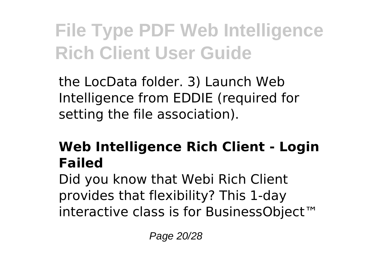the LocData folder. 3) Launch Web Intelligence from EDDIE (required for setting the file association).

### **Web Intelligence Rich Client - Login Failed**

Did you know that Webi Rich Client provides that flexibility? This 1-day interactive class is for BusinessObject™

Page 20/28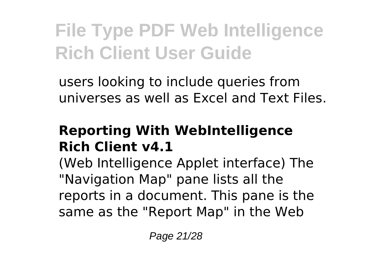users looking to include queries from universes as well as Excel and Text Files.

### **Reporting With WebIntelligence Rich Client v4.1**

(Web Intelligence Applet interface) The "Navigation Map" pane lists all the reports in a document. This pane is the same as the "Report Map" in the Web

Page 21/28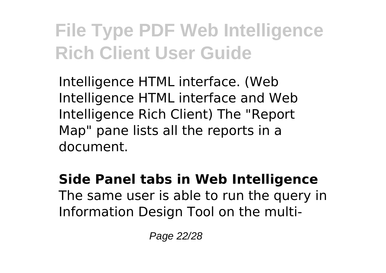Intelligence HTML interface. (Web Intelligence HTML interface and Web Intelligence Rich Client) The "Report Map" pane lists all the reports in a document.

**Side Panel tabs in Web Intelligence** The same user is able to run the query in Information Design Tool on the multi-

Page 22/28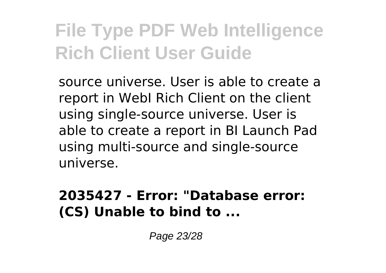source universe. User is able to create a report in WebI Rich Client on the client using single-source universe. User is able to create a report in BI Launch Pad using multi-source and single-source universe.

#### **2035427 - Error: "Database error: (CS) Unable to bind to ...**

Page 23/28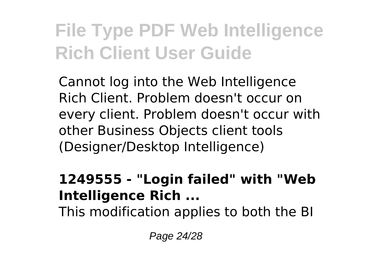Cannot log into the Web Intelligence Rich Client. Problem doesn't occur on every client. Problem doesn't occur with other Business Objects client tools (Designer/Desktop Intelligence)

#### **1249555 - "Login failed" with "Web Intelligence Rich ...**

This modification applies to both the BI

Page 24/28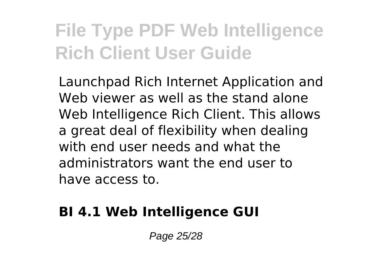Launchpad Rich Internet Application and Web viewer as well as the stand alone Web Intelligence Rich Client. This allows a great deal of flexibility when dealing with end user needs and what the administrators want the end user to have access to.

#### **BI 4.1 Web Intelligence GUI**

Page 25/28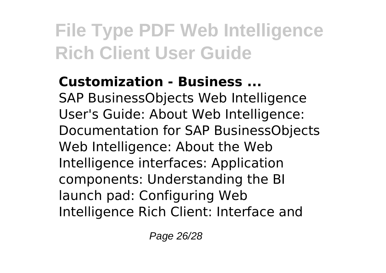### **Customization - Business ...**

SAP BusinessObjects Web Intelligence User's Guide: About Web Intelligence: Documentation for SAP BusinessObjects Web Intelligence: About the Web Intelligence interfaces: Application components: Understanding the BI launch pad: Configuring Web Intelligence Rich Client: Interface and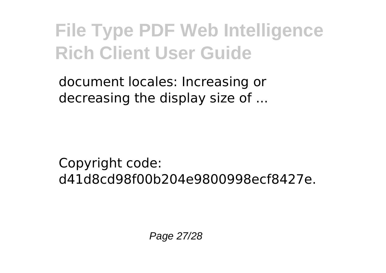document locales: Increasing or decreasing the display size of ...

Copyright code: d41d8cd98f00b204e9800998ecf8427e.

Page 27/28